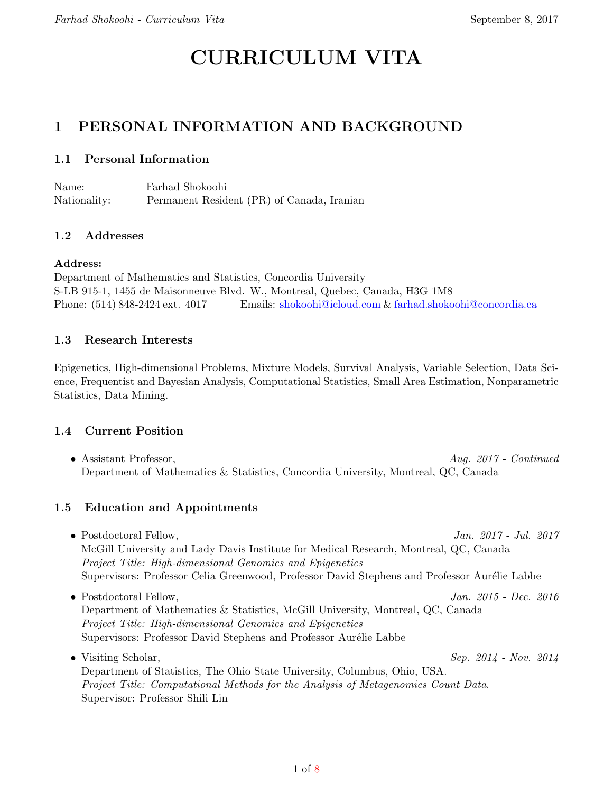# CURRICULUM VITA

## 1 PERSONAL INFORMATION AND BACKGROUND

#### 1.1 Personal Information

Name: Farhad Shokoohi Nationality: Permanent Resident (PR) of Canada, Iranian

#### 1.2 Addresses

#### Address:

Department of Mathematics and Statistics, Concordia University S-LB 915-1, 1455 de Maisonneuve Blvd. W., Montreal, Quebec, Canada, H3G 1M8 Phone: (514) 848-2424 ext. 4017 Emails: [shokoohi@icloud.com](mailto:shokoohi@icloud.com) & [farhad.shokoohi@concordia.ca](mailto:farhad.shokoohi@concordia.ca)

#### 1.3 Research Interests

Epigenetics, High-dimensional Problems, Mixture Models, Survival Analysis, Variable Selection, Data Science, Frequentist and Bayesian Analysis, Computational Statistics, Small Area Estimation, Nonparametric Statistics, Data Mining.

#### 1.4 Current Position

• Assistant Professor,  $Auq. 2017$  - Continued Department of Mathematics & Statistics, Concordia University, Montreal, QC, Canada

#### 1.5 Education and Appointments

- Postdoctoral Fellow, Jan. 2017 Jul. 2017 McGill University and Lady Davis Institute for Medical Research, Montreal, QC, Canada Project Title: High-dimensional Genomics and Epigenetics Supervisors: Professor Celia Greenwood, Professor David Stephens and Professor Aurélie Labbe • Postdoctoral Fellow, Jan. 2015 - Dec. 2016 Department of Mathematics & Statistics, McGill University, Montreal, QC, Canada
- Project Title: High-dimensional Genomics and Epigenetics Supervisors: Professor David Stephens and Professor Aurélie Labbe • Visiting Scholar,  $\text{Sep. } 2014$  - Nov.  $2014$

Department of Statistics, The Ohio State University, Columbus, Ohio, USA. Project Title: Computational Methods for the Analysis of Metagenomics Count Data. Supervisor: Professor Shili Lin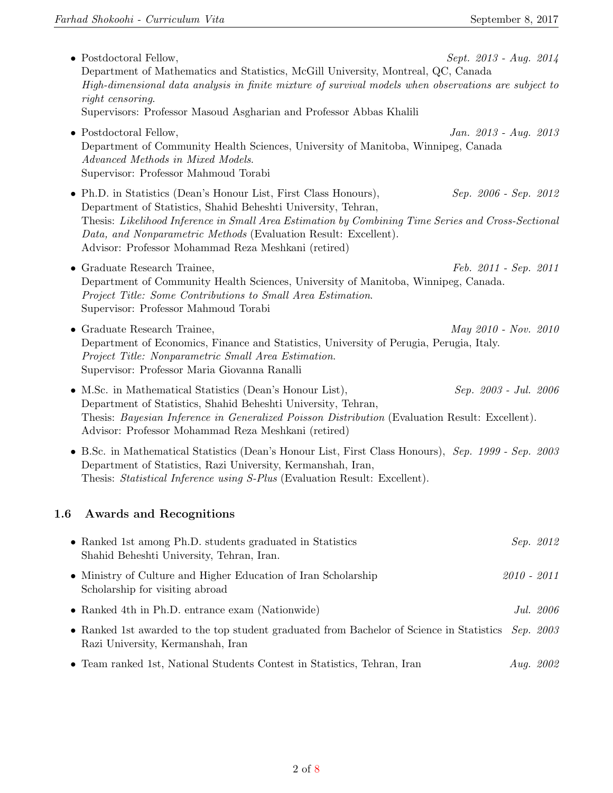|           | • Postdoctoral Fellow,<br>Department of Mathematics and Statistics, McGill University, Montreal, QC, Canada<br>High-dimensional data analysis in finite mixture of survival models when observations are subject to<br>right censoring.                                                                                                                           | $Sept. 2013 - Aug. 2014$ |               |           |
|-----------|-------------------------------------------------------------------------------------------------------------------------------------------------------------------------------------------------------------------------------------------------------------------------------------------------------------------------------------------------------------------|--------------------------|---------------|-----------|
|           | Supervisors: Professor Masoud Asgharian and Professor Abbas Khalili                                                                                                                                                                                                                                                                                               |                          |               |           |
|           | • Postdoctoral Fellow,<br>Department of Community Health Sciences, University of Manitoba, Winnipeg, Canada<br>Advanced Methods in Mixed Models.<br>Supervisor: Professor Mahmoud Torabi                                                                                                                                                                          | Jan. 2013 - Aug. 2013    |               |           |
|           | • Ph.D. in Statistics (Dean's Honour List, First Class Honours),<br>Department of Statistics, Shahid Beheshti University, Tehran,<br>Thesis: Likelihood Inference in Small Area Estimation by Combining Time Series and Cross-Sectional<br>Data, and Nonparametric Methods (Evaluation Result: Excellent).<br>Advisor: Professor Mohammad Reza Meshkani (retired) | Sep. 2006 - Sep. 2012    |               |           |
|           | • Graduate Research Trainee,<br>Department of Community Health Sciences, University of Manitoba, Winnipeg, Canada.<br>Project Title: Some Contributions to Small Area Estimation.<br>Supervisor: Professor Mahmoud Torabi                                                                                                                                         | Feb. 2011 - Sep. 2011    |               |           |
|           | • Graduate Research Trainee,<br>Department of Economics, Finance and Statistics, University of Perugia, Perugia, Italy.<br>Project Title: Nonparametric Small Area Estimation.<br>Supervisor: Professor Maria Giovanna Ranalli                                                                                                                                    | May 2010 - Nov. 2010     |               |           |
|           | • M.Sc. in Mathematical Statistics (Dean's Honour List),<br>Department of Statistics, Shahid Beheshti University, Tehran,<br>Thesis: Bayesian Inference in Generalized Poisson Distribution (Evaluation Result: Excellent).<br>Advisor: Professor Mohammad Reza Meshkani (retired)                                                                                | Sep. 2003 - Jul. 2006    |               |           |
|           | • B.Sc. in Mathematical Statistics (Dean's Honour List, First Class Honours), Sep. 1999 - Sep. 2003<br>Department of Statistics, Razi University, Kermanshah, Iran,<br>Thesis: Statistical Inference using S-Plus (Evaluation Result: Excellent).                                                                                                                 |                          |               |           |
| 1.6       | <b>Awards and Recognitions</b>                                                                                                                                                                                                                                                                                                                                    |                          |               |           |
|           | • Ranked 1st among Ph.D. students graduated in Statistics<br>Shahid Beheshti University, Tehran, Iran.                                                                                                                                                                                                                                                            |                          |               | Sep. 2012 |
|           | • Ministry of Culture and Higher Education of Iran Scholarship<br>Scholarship for visiting abroad                                                                                                                                                                                                                                                                 |                          | $2010 - 2011$ |           |
|           | • Ranked 4th in Ph.D. entrance exam (Nationwide)                                                                                                                                                                                                                                                                                                                  |                          |               | Jul. 2006 |
| $\bullet$ | Ranked 1st awarded to the top student graduated from Bachelor of Science in Statistics<br>Razi University, Kermanshah, Iran                                                                                                                                                                                                                                       |                          |               | Sep. 2003 |
|           | • Team ranked 1st, National Students Contest in Statistics, Tehran, Iran                                                                                                                                                                                                                                                                                          |                          |               | Aug. 2002 |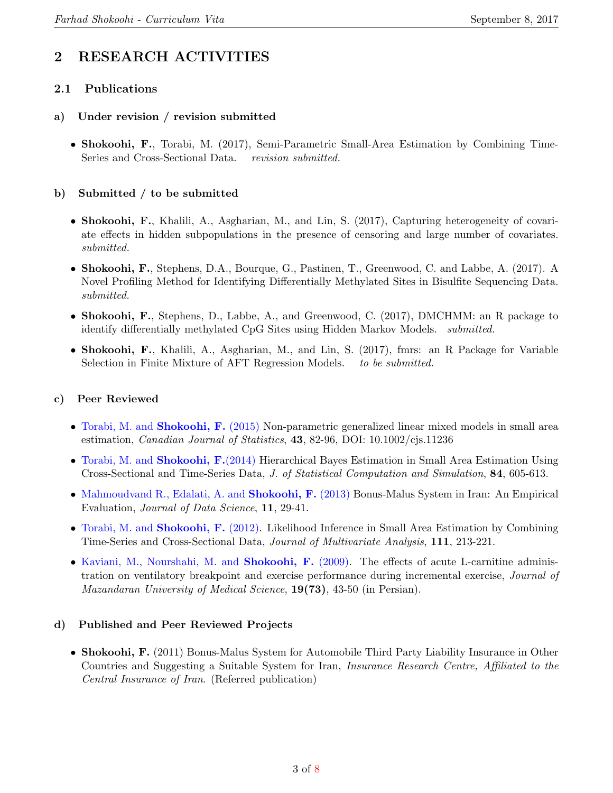# 2 RESEARCH ACTIVITIES

#### 2.1 Publications

#### a) Under revision / revision submitted

• Shokoohi, F., Torabi, M. (2017), Semi-Parametric Small-Area Estimation by Combining Time-Series and Cross-Sectional Data. revision submitted.

#### b) Submitted / to be submitted

- Shokoohi, F., Khalili, A., Asgharian, M., and Lin, S. (2017), Capturing heterogeneity of covariate effects in hidden subpopulations in the presence of censoring and large number of covariates. submitted.
- Shokoohi, F., Stephens, D.A., Bourque, G., Pastinen, T., Greenwood, C. and Labbe, A. (2017). A Novel Profiling Method for Identifying Differentially Methylated Sites in Bisulfite Sequencing Data. submitted.
- Shokoohi, F., Stephens, D., Labbe, A., and Greenwood, C. (2017), DMCHMM: an R package to identify differentially methylated CpG Sites using Hidden Markov Models. submitted.
- Shokoohi, F., Khalili, A., Asgharian, M., and Lin, S. (2017), fmrs: an R Package for Variable Selection in Finite Mixture of AFT Regression Models. to be submitted.

#### c) Peer Reviewed

- [Torabi, M. and](http://onlinelibrary.wiley.com/doi/10.1002/cjs.11236/abstract) Shokoohi, F. (2015) Non-parametric generalized linear mixed models in small area estimation, Canadian Journal of Statistics, 43, 82-96, DOI: 10.1002/cjs.11236
- [Torabi, M. and](http://www.tandfonline.com/doi/pdf/10.1080/00949655.2012.721365) Shokoohi, F. (2014) Hierarchical Bayes Estimation in Small Area Estimation Using Cross-Sectional and Time-Series Data, J. of Statistical Computation and Simulation, 84, 605-613.
- [Mahmoudvand R., Edalati, A. and](http://www.jds-online.com/file_download/378/JDS-1098.pdf) Shokoohi, F. (2013) Bonus-Malus System in Iran: An Empirical Evaluation, *Journal of Data Science*, **11**, 29-41.
- [Torabi, M. and](http://www.sciencedirect.com/science/article/pii/S0047259X1200142X) Shokoohi, F. (2012). Likelihood Inference in Small Area Estimation by Combining Time-Series and Cross-Sectional Data, Journal of Multivariate Analysis, 111, 213-221.
- [Kaviani, M., Nourshahi, M. and](http://jmums.mazums.ac.ir/browse.php?a_id=587&slc_lang=en&sid=1&printcase=1&hbnr=1) Shokoohi, F. (2009). The effects of acute L-carnitine administration on ventilatory breakpoint and exercise performance during incremental exercise, Journal of Mazandaran University of Medical Science, 19(73), 43-50 (in Persian).

#### d) Published and Peer Reviewed Projects

• Shokoohi, F. (2011) Bonus-Malus System for Automobile Third Party Liability Insurance in Other Countries and Suggesting a Suitable System for Iran, Insurance Research Centre, Affiliated to the Central Insurance of Iran. (Referred publication)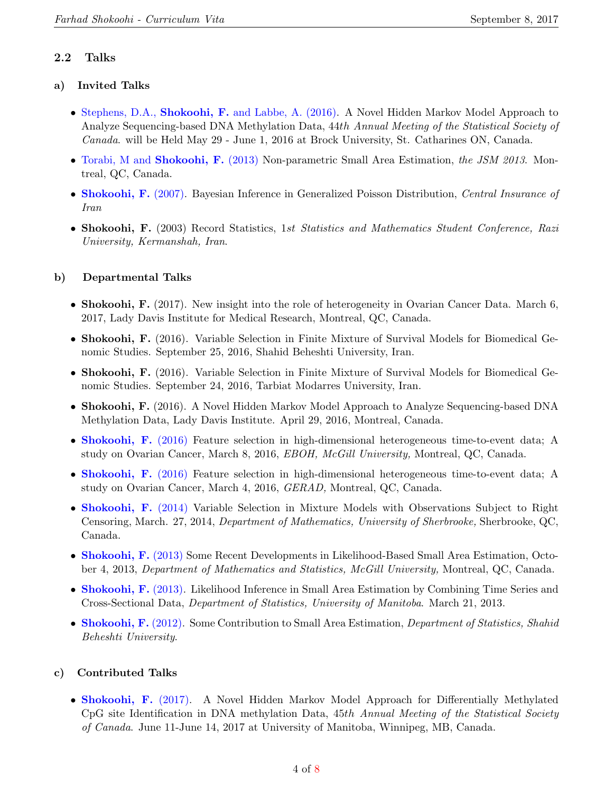#### 2.2 Talks

#### a) Invited Talks

- Stephens, D.A., Shokoohi, F. [and Labbe, A. \(2016\).](http://ssc.ca/en/meetings/2016) A Novel Hidden Markov Model Approach to Analyze Sequencing-based DNA Methylation Data, 44th Annual Meeting of the Statistical Society of Canada. will be Held May 29 - June 1, 2016 at Brock University, St. Catharines ON, Canada.
- [Torabi, M and](http://www.amstat.org/meetings/jsm/2013/onlineprogram/AbstractDetails.cfm?abstractid=307865) Shokoohi, F. (2013) Non-parametric Small Area Estimation, the JSM 2013. Montreal, QC, Canada.
- [Shokoohi, F.](http://www.amar.org.ir/Default.aspx?tabid=133) (2007). Bayesian Inference in Generalized Poisson Distribution, Central Insurance of Iran
- Shokoohi, F. (2003) Record Statistics, 1st Statistics and Mathematics Student Conference, Razi University, Kermanshah, Iran.

#### b) Departmental Talks

- Shokoohi, F. (2017). New insight into the role of heterogeneity in Ovarian Cancer Data. March 6, 2017, Lady Davis Institute for Medical Research, Montreal, QC, Canada.
- Shokoohi, F. (2016). Variable Selection in Finite Mixture of Survival Models for Biomedical Genomic Studies. September 25, 2016, Shahid Beheshti University, Iran.
- Shokoohi, F. (2016). Variable Selection in Finite Mixture of Survival Models for Biomedical Genomic Studies. September 24, 2016, Tarbiat Modarres University, Iran.
- Shokoohi, F. (2016). A Novel Hidden Markov Model Approach to Analyze Sequencing-based DNA Methylation Data, Lady Davis Institute. April 29, 2016, Montreal, Canada.
- [Shokoohi, F.](http://www.mcgill.ca) (2016) Feature selection in high-dimensional heterogeneous time-to-event data; A study on Ovarian Cancer, March 8, 2016, EBOH, McGill University, Montreal, QC, Canada.
- [Shokoohi, F.](https://www.gerad.ca/en) (2016) Feature selection in high-dimensional heterogeneous time-to-event data; A study on Ovarian Cancer, March 4, 2016, GERAD, Montreal, QC, Canada.
- [Shokoohi, F.](http://www.usherbrooke.ca) (2014) Variable Selection in Mixture Models with Observations Subject to Right Censoring, March. 27, 2014, Department of Mathematics, University of Sherbrooke, Sherbrooke, QC, Canada.
- [Shokoohi, F.](http://www.math.mcgill.ca/node/5358) (2013) Some Recent Developments in Likelihood-Based Small Area Estimation, October 4, 2013, Department of Mathematics and Statistics, McGill University, Montreal, QC, Canada.
- [Shokoohi, F.](http://www.umanitoba.ca/statistics/seminars/2013/3/21/farhad-shokoohi-tba/) (2013). Likelihood Inference in Small Area Estimation by Combining Time Series and Cross-Sectional Data, Department of Statistics, University of Manitoba. March 21, 2013.
- [Shokoohi, F.](http://en.sbu.ac.ir/) (2012). Some Contribution to Small Area Estimation, *Department of Statistics, Shahid* Beheshti University.

#### c) Contributed Talks

• [Shokoohi, F.](https://ssc.ca/en/meeting/annual/2017) (2017). A Novel Hidden Markov Model Approach for Differentially Methylated CpG site Identification in DNA methylation Data, 45th Annual Meeting of the Statistical Society of Canada. June 11-June 14, 2017 at University of Manitoba, Winnipeg, MB, Canada.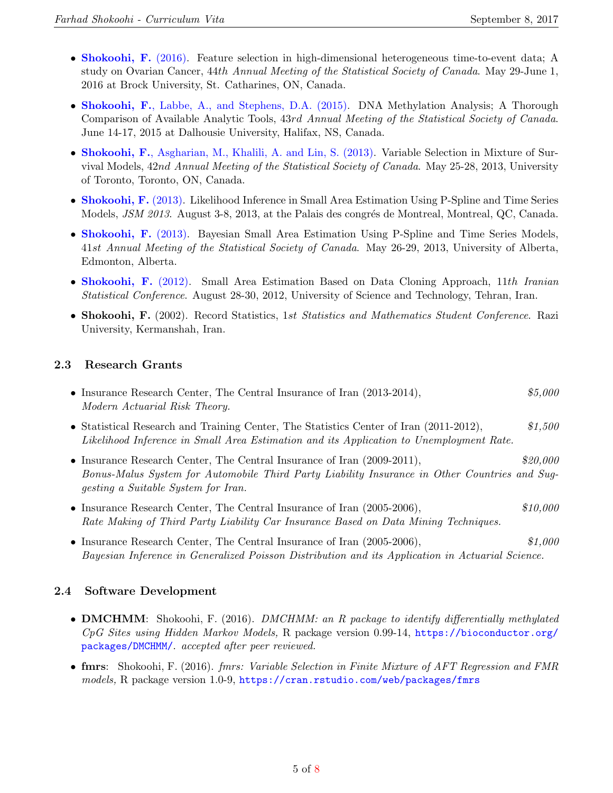- [Shokoohi, F.](http://ssc.ca/en/meetings/2016) (2016). Feature selection in high-dimensional heterogeneous time-to-event data; A study on Ovarian Cancer, 44th Annual Meeting of the Statistical Society of Canada. May 29-June 1, 2016 at Brock University, St. Catharines, ON, Canada.
- Shokoohi, F.[, Labbe, A., and Stephens, D.A. \(2015\).](http://ssc.ca/en/meetings/2015) DNA Methylation Analysis; A Thorough Comparison of Available Analytic Tools, 43rd Annual Meeting of the Statistical Society of Canada. June 14-17, 2015 at Dalhousie University, Halifax, NS, Canada.
- Shokoohi, F.[, Asgharian, M., Khalili, A. and Lin, S. \(2013\).](http://ssc.ca/en/meetings/2014) Variable Selection in Mixture of Survival Models, 42nd Annual Meeting of the Statistical Society of Canada. May 25-28, 2013, University of Toronto, Toronto, ON, Canada.
- [Shokoohi, F.](http://www.amstat.org/meetings/jsm/2013/onlineprogram/AbstractDetails.cfm?abstractid=309172) (2013). Likelihood Inference in Small Area Estimation Using P-Spline and Time Series Models, *JSM 2013*. August 3-8, 2013, at the Palais des congrés de Montreal, Montreal, QC, Canada.
- [Shokoohi, F.](http://www.ssc.ca/en/meetings/2013) (2013). Bayesian Small Area Estimation Using P-Spline and Time Series Models, 41st Annual Meeting of the Statistical Society of Canada. May 26-29, 2013, University of Alberta, Edmonton, Alberta.
- [Shokoohi, F.](http://isc11.iust.ac.ir/) (2012). Small Area Estimation Based on Data Cloning Approach, 11th Iranian Statistical Conference. August 28-30, 2012, University of Science and Technology, Tehran, Iran.
- Shokoohi, F. (2002). Record Statistics, 1st Statistics and Mathematics Student Conference. Razi University, Kermanshah, Iran.

#### 2.3 Research Grants

- Insurance Research Center, The Central Insurance of Iran (2013-2014),  $$5,000$ Modern Actuarial Risk Theory.
- Statistical Research and Training Center, The Statistics Center of Iran (2011-2012), \$1,500 Likelihood Inference in Small Area Estimation and its Application to Unemployment Rate.
- Insurance Research Center, The Central Insurance of Iran (2009-2011),  $$20,000$ Bonus-Malus System for Automobile Third Party Liability Insurance in Other Countries and Suggesting a Suitable System for Iran.
- Insurance Research Center, The Central Insurance of Iran (2005-2006),  $$10,000$ Rate Making of Third Party Liability Car Insurance Based on Data Mining Techniques.
- Insurance Research Center, The Central Insurance of Iran (2005-2006), \$1,000 Bayesian Inference in Generalized Poisson Distribution and its Application in Actuarial Science.

#### 2.4 Software Development

- DMCHMM: Shokoohi, F. (2016). DMCHMM: an R package to identify differentially methylated CpG Sites using Hidden Markov Models, R package version 0.99-14, [https://bioconductor.org/](https://bioconductor.org/packages/DMCHMM/) [packages/DMCHMM/](https://bioconductor.org/packages/DMCHMM/). accepted after peer reviewed.
- fmrs: Shokoohi, F. (2016). *fmrs: Variable Selection in Finite Mixture of AFT Regression and FMR* models, R package version 1.0-9, <https://cran.rstudio.com/web/packages/fmrs>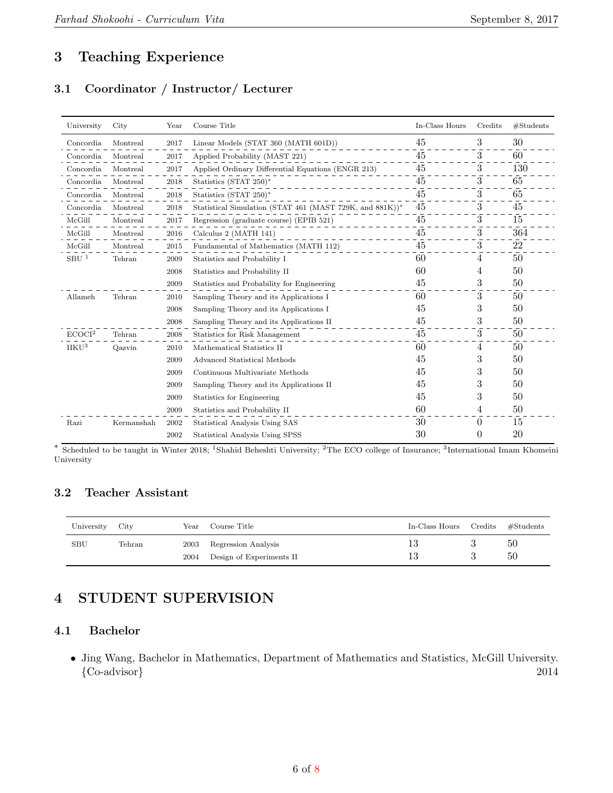## 3 Teaching Experience

### 3.1 Coordinator / Instructor/ Lecturer

| University         | City       | Year | Course Title                                             | In-Class Hours | Credits  | #Students |
|--------------------|------------|------|----------------------------------------------------------|----------------|----------|-----------|
| Concordia          | Montreal   | 2017 | Linear Models (STAT 360 (MATH 601D))                     | 45             | 3        | 30        |
| Concordia          | Montreal   | 2017 | Applied Probability (MAST 221)                           | 45             | 3        | 60        |
| Concordia          | Montreal   | 2017 | Applied Ordinary Differential Equations (ENGR 213)       | 45             | 3        | 130       |
| Concordia          | Montreal   | 2018 | Statistics (STAT $250$ <sup>*</sup>                      | 45             | 3        | 65        |
| Concordia          | Montreal   | 2018 | Statistics (STAT 250)*                                   | 45             | 3        | 65        |
| Concordia          | Montreal   | 2018 | Statistical Simulation (STAT 461 (MAST 729K, and 881K))* | 45             | 3        | 45        |
| McGill             | Montreal   | 2017 | Regression (graduate course) (EPIB 521)                  | 45             | 3        | 15        |
| McGill             | Montreal   | 2016 | Calculus 2 (MATH 141)                                    | 45             | 3        | 364       |
| McGill             | Montreal   | 2015 | Fundamental of Mathematics (MATH 112)                    | 45             | 3        | $22\,$    |
| SBU <sup>1</sup>   | Tehran     | 2009 | Statistics and Probability I                             | 60             | 4        | 50        |
|                    |            | 2008 | Statistics and Probability II                            | 60             | 4        | 50        |
|                    |            | 2009 | Statistics and Probability for Engineering               | 45             | 3        | 50        |
| Allameh            | Tehran     | 2010 | Sampling Theory and its Applications I                   | 60             | 3        | 50        |
|                    |            | 2008 | Sampling Theory and its Applications I                   | 45             | 3        | 50        |
|                    |            | 2008 | Sampling Theory and its Applications II                  | 45             | 3        | 50        |
| ECOCI <sup>2</sup> | Tehran     | 2008 | Statistics for Risk Management                           | 45             | 3        | 50        |
| IIKU <sup>3</sup>  | Qazvin     | 2010 | Mathematical Statistics II                               | 60             | 4        | 50        |
|                    |            | 2009 | Advanced Statistical Methods                             | 45             | 3        | 50        |
|                    |            | 2009 | Continuous Multivariate Methods                          | 45             | 3        | 50        |
|                    |            | 2009 | Sampling Theory and its Applications II                  | 45             | 3        | 50        |
|                    |            | 2009 | Statistics for Engineering                               | 45             | 3        | 50        |
|                    |            | 2009 | Statistics and Probability II                            | 60             | 4        | 50        |
| Razi               | Kermanshah | 2002 | Statistical Analysis Using SAS                           | 30             | $\theta$ | 15        |
|                    |            | 2002 | Statistical Analysis Using SPSS                          | 30             | $\theta$ | 20        |

\* Scheduled to be taught in Winter 2018; <sup>1</sup>Shahid Beheshti University; <sup>2</sup>The ECO college of Insurance; <sup>3</sup>International Imam Khomeini University

#### 3.2 Teacher Assistant

| University | City   | Year         | Course Title                                    | In-Class Hours Credits | $\# \mathrm{Students}$ |
|------------|--------|--------------|-------------------------------------------------|------------------------|------------------------|
| <b>SBU</b> | Tehran | 2003<br>2004 | Regression Analysis<br>Design of Experiments II |                        | 50<br>50               |

## 4 STUDENT SUPERVISION

#### 4.1 Bachelor

• Jing Wang, Bachelor in Mathematics, Department of Mathematics and Statistics, McGill University. {Co-advisor} 2014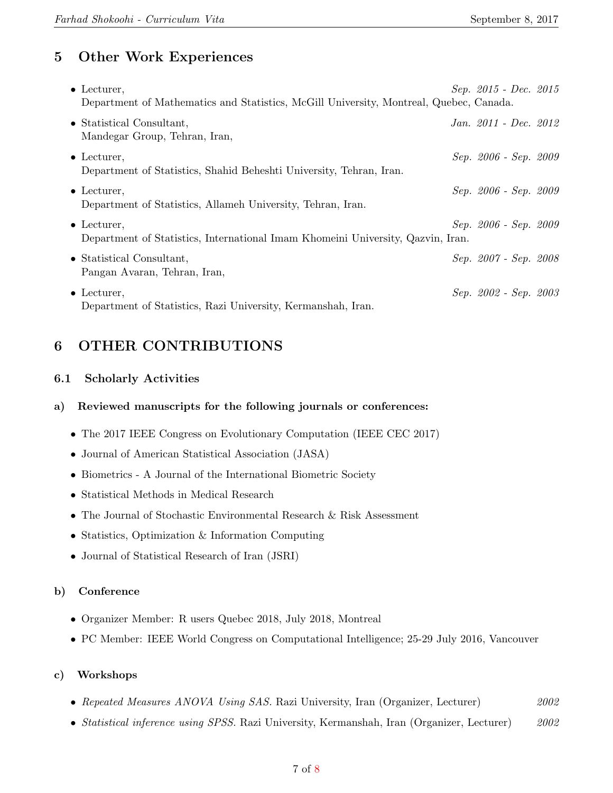# 5 Other Work Experiences

| $\bullet$ Lecturer,<br>Department of Mathematics and Statistics, McGill University, Montreal, Quebec, Canada. | $Sep. 2015$ - $Dec. 2015$ |  |
|---------------------------------------------------------------------------------------------------------------|---------------------------|--|
| • Statistical Consultant,<br>Mandegar Group, Tehran, Iran,                                                    | Jan. 2011 - Dec. 2012     |  |
| $\bullet$ Lecturer,<br>Department of Statistics, Shahid Beheshti University, Tehran, Iran.                    | Sep. 2006 - Sep. 2009     |  |
| $\bullet$ Lecturer.<br>Department of Statistics, Allameh University, Tehran, Iran.                            | Sep. 2006 - Sep. 2009     |  |
| $\bullet$ Lecturer.<br>Department of Statistics, International Imam Khomeini University, Qazvin, Iran.        | Sep. 2006 - Sep. 2009     |  |
| • Statistical Consultant,<br>Pangan Avaran, Tehran, Iran,                                                     | Sep. 2007 - Sep. 2008     |  |
| $\bullet$ Lecturer,<br>Department of Statistics, Razi University, Kermanshah, Iran.                           | Sep. 2002 - Sep. 2003     |  |

# 6 OTHER CONTRIBUTIONS

#### 6.1 Scholarly Activities

#### a) Reviewed manuscripts for the following journals or conferences:

- The 2017 IEEE Congress on Evolutionary Computation (IEEE CEC 2017)
- Journal of American Statistical Association (JASA)
- Biometrics A Journal of the International Biometric Society
- Statistical Methods in Medical Research
- The Journal of Stochastic Environmental Research & Risk Assessment
- Statistics, Optimization & Information Computing
- Journal of Statistical Research of Iran (JSRI)

#### b) Conference

- Organizer Member: R users Quebec 2018, July 2018, Montreal
- PC Member: IEEE World Congress on Computational Intelligence; 25-29 July 2016, Vancouver

#### c) Workshops

- Repeated Measures ANOVA Using SAS. Razi University, Iran (Organizer, Lecturer) 2002
- Statistical inference using SPSS. Razi University, Kermanshah, Iran (Organizer, Lecturer) 2002